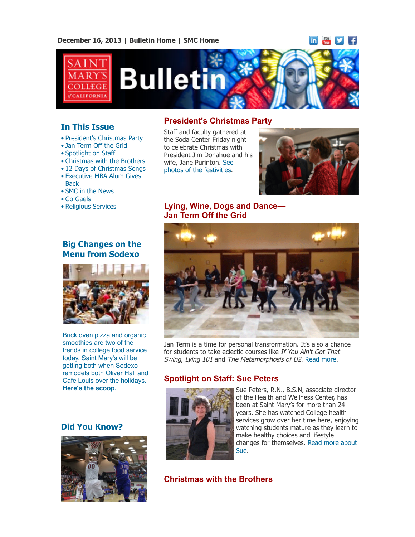**December 16, 2013 | [Bulletin Home](http://www.stmarys-ca.edu/smc-bulletin?utm_source=Bulletin&utm_medium=email&utm_campaign=12-16-2013) | [SMC Home](http://www.stmarys-ca.edu/?utm_source=Bulletin&utm_medium=email&utm_campaign=12-16-2013)**

in You



# **Bulleti**

# **In This Issue**

- [•](file:///Users/smallalieu/Documents/StMarys/Bulletin/Bulletin_12_16_13/Bulletin_12_16_13_SENT.html#09_30_13_studentslearn) President's Christmas Party
- Jan Term Off the Grid
- Spotlight on Staff
- Christmas with the Brothers
- 12 Days of Christmas Songs
- Executive MBA Alum Gives
- Back
- SMC in the News
- Go Gaels
- Religious Services

# **Big Changes on the Menu from Sodexo**



Brick oven pizza and organic smoothies are two of the trends in college food service today. Saint Mary's will be getting both when Sodexo remodels both Oliver Hall and Cafe Louis over the holidays. **[Here's the scoop.](http://www.stmarys-ca.edu/changes-at-oliver-hall-and-caf%C3%A9-louis?utm_source=Bulletin&utm_medium=email&utm_campaign=12-16-2013)**

## **Did You Know?**



## **President's Christmas Party**

Staff and faculty gathered at the Soda Center Friday night to celebrate Christmas with President Jim Donahue and his [wife, Jane Purinton. See](http://www.stmarys-ca.edu/presidents-christmas-party-2013?utm_source=Bulletin&utm_medium=email&utm_campaign=12-16-13) photos of the festivities.



## **Lying, Wine, Dogs and Dance— Jan Term Off the Grid**



Jan Term is a time for personal transformation. It's also a chance for students to take eclectic courses like If You Ain't Got That Swing, Lying 101 and The Metamorphosis of U2. [Read more](http://www.stmarys-ca.edu/lying-wine-dogs-and-dance%E2%80%94jan-term-off-the-grid?utm_source=Bulletin&utm_medium=email&utm_campaign=12-16-2013).

# **Spotlight on Staff: Sue Peters**



Sue Peters, R.N., B.S.N, associate director of the Health and Wellness Center, has been at Saint Mary's for more than 24 years. She has watched College health services grow over her time here, enjoying watching students mature as they learn to make healthy choices and lifestyle [changes for themselves. Read more about](http://www.stmarys-ca.edu/for-faculty-staff/staff-council/spotlight-on-staff-sue-peters?utm_source=Bulletin&utm_medium=email&utm_campaign=12-16-13) Sue.

**Christmas with the Brothers**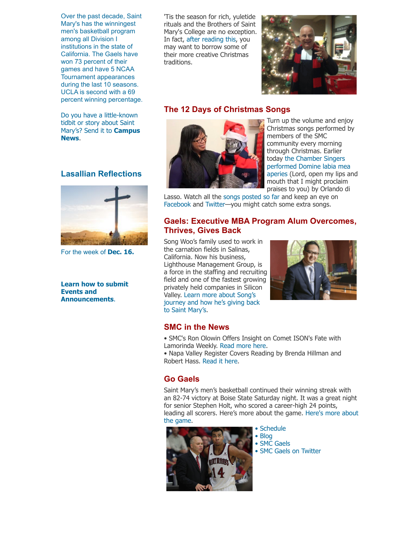Over the past decade, Saint Mary's has the winningest men's basketball program among all Division I institutions in the state of California. The Gaels have won 73 percent of their games and have 5 NCAA Tournament appearances during the last 10 seasons. UCLA is second with a 69 percent winning percentage.

Do you have a little-known tidbit or story about Saint [Mary's? Send it to](mailto:news@stmarys-ca.edu) **Campus News**.

#### **Lasallian Reflections**



For the week of **[Dec. 16.](http://www.stmarys-ca.edu/living-lasallian/lasallian-reflections?utm_source=Bulletin&utm_medium=email&utm_campaign=12-16-2013)**

**[Learn how to submit](http://www.stmarys-ca.edu/smc-bulletin/faqs?utm_source=Bulletin&utm_medium=email&utm_campaign=10-07-2013) Events and Announcements**.

'Tis the season for rich, yuletide rituals and the Brothers of Saint Mary's College are no exception. In fact, [after reading this,](http://www.stmarys-ca.edu/christmas-with-the-brothers?utm_source=Bulletin&utm_medium=email&utm_campaign=12-16-13) you may want to borrow some of their more creative Christmas traditions.



## **The 12 Days of Christmas Songs**



Turn up the volume and enjoy Christmas songs performed by members of the SMC community every morning through Christmas. Earlier today the Chamber Singers [performed Domine labia mea](http://youtu.be/8Lxfyw937vI) aperies (Lord, open my lips and mouth that I might proclaim praises to you) by Orlando di

Lasso. Watch all the [songs posted so far](http://www.youtube.com/playlist?list=PLVGNzM9QnnXfENWRdCRFyj0u5vkDVd29a) and keep an eye on [Facebook](https://www.facebook.com/stmarysca?utm_source=Bulletin&utm_medium=email&utm_campaign=12-16-13) and [Twitter](https://twitter.com/stmarysca?utm_source=Bulletin&utm_medium=email&utm_campaign=12-16-13)—you might catch some extra songs.

#### **Gaels: Executive MBA Program Alum Overcomes, Thrives, Gives Back**

Song Woo's family used to work in the carnation fields in Salinas, California. Now his business, Lighthouse Management Group, is a force in the staffing and recruiting field and one of the fastest growing privately held companies in Silicon Valley. Learn more about Song's [journey and how he's giving back](http://www.stmarys-ca.edu/song-woo?utm_source=Bulletin&utm_medium=email&utm_campaign=12-16-13) to Saint Mary's.



## **SMC in the News**

- SMC's Ron Olowin Offers Insight on Comet ISON's Fate with Lamorinda Weekly. [Read more here.](http://www.stmarys-ca.edu/smcs-ron-olowin-offers-insight-on-comet-isons-fate-with-lamorinda-weekly?utm_source=Bulletin&utm_medium=email&utm_campaign=12-16-2013)
- Napa Valley Register Covers Reading by Brenda Hillman and Robert Hass. [Read it here.](http://www.stmarys-ca.edu/napa-valley-register-covers-reading-by-brenda-hillman-and-robert-hass?utm_source=Bulletin&utm_medium=email&utm_campaign=12-16-2013)

## **Go Gaels**

Saint Mary's men's basketball continued their winning streak with an 82-74 victory at Boise State Saturday night. It was a great night for senior Stephen Holt, who scored a career-high 24 points, [leading all scorers. Here's more about the game. Here's more about](http://www.smcgaels.com/ViewArticle.dbml?ATCLID=209342192&DB_OEM_ID=21400?utm_source=Bulletin&utm_medium=email&utm_campaign=12-16-13) the game.



• [Schedule](http://www.smcgaels.com/main/Schedule.dbml)

- [Blog](http://smcgaels.wordpress.com/)
- [SMC Gaels](http://www.smcgaels.com/)
- [SMC Gaels on Twitter](https://twitter.com/smcgaels)